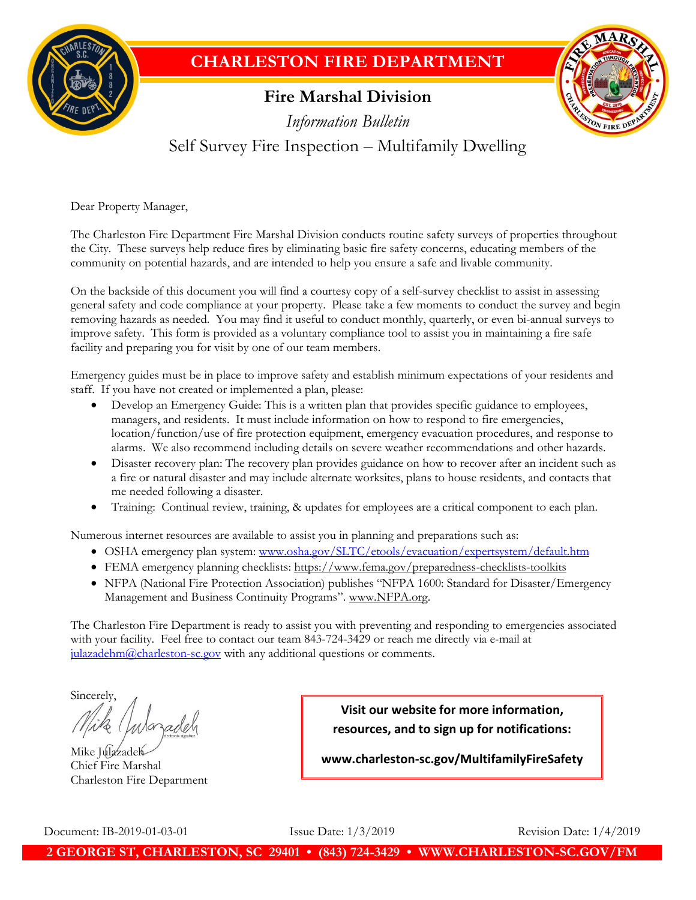

## **CHARLESTON FIRE DEPARTMENT**

## **Fire Marshal Division**



*Information Bulletin* Self Survey Fire Inspection – Multifamily Dwelling

Dear Property Manager,

The Charleston Fire Department Fire Marshal Division conducts routine safety surveys of properties throughout the City. These surveys help reduce fires by eliminating basic fire safety concerns, educating members of the community on potential hazards, and are intended to help you ensure a safe and livable community.

On the backside of this document you will find a courtesy copy of a self-survey checklist to assist in assessing general safety and code compliance at your property. Please take a few moments to conduct the survey and begin removing hazards as needed. You may find it useful to conduct monthly, quarterly, or even bi-annual surveys to improve safety. This form is provided as a voluntary compliance tool to assist you in maintaining a fire safe facility and preparing you for visit by one of our team members.

Emergency guides must be in place to improve safety and establish minimum expectations of your residents and staff. If you have not created or implemented a plan, please:

- Develop an Emergency Guide: This is a written plan that provides specific guidance to employees, managers, and residents. It must include information on how to respond to fire emergencies, location/function/use of fire protection equipment, emergency evacuation procedures, and response to alarms. We also recommend including details on severe weather recommendations and other hazards.
- Disaster recovery plan: The recovery plan provides guidance on how to recover after an incident such as a fire or natural disaster and may include alternate worksites, plans to house residents, and contacts that me needed following a disaster.
- Training: Continual review, training, & updates for employees are a critical component to each plan.

Numerous internet resources are available to assist you in planning and preparations such as:

- OSHA emergency plan system: [www.osha.gov/SLTC/etools/evacuation/expertsystem/default.htm](http://www.osha.gov/SLTC/etools/evacuation/expertsystem/default.htm)
- FEMA emergency planning checklists: https://www.fema.gov/preparedness-checklists-toolkits
- NFPA (National Fire Protection Association) publishes "NFPA 1600: Standard for Disaster/Emergency Management and Business Continuity Programs". www.NFPA.org.

The Charleston Fire Department is ready to assist you with preventing and responding to emergencies associated with your facility. Feel free to contact our team 843-724-3429 or reach me directly via e-mail at  $j$ ulazadehm@charleston-sc.gov with any additional questions or comments.

Sincerely,

Mike Julazadel Chief Fire Marshal Charleston Fire Department

**Visit our website for more information, resources, and to sign up for notifications:**

**www.charleston-sc.gov/MultifamilyFireSafety**

Document: IB-2019-01-03-01 Issue Date: 1/3/2019 Revision Date: 1/4/2019

**2 GEORGE ST, CHARLESTON, SC 29401 • (843) 724-3429 • WWW.CHARLESTON-SC.GOV/FM**